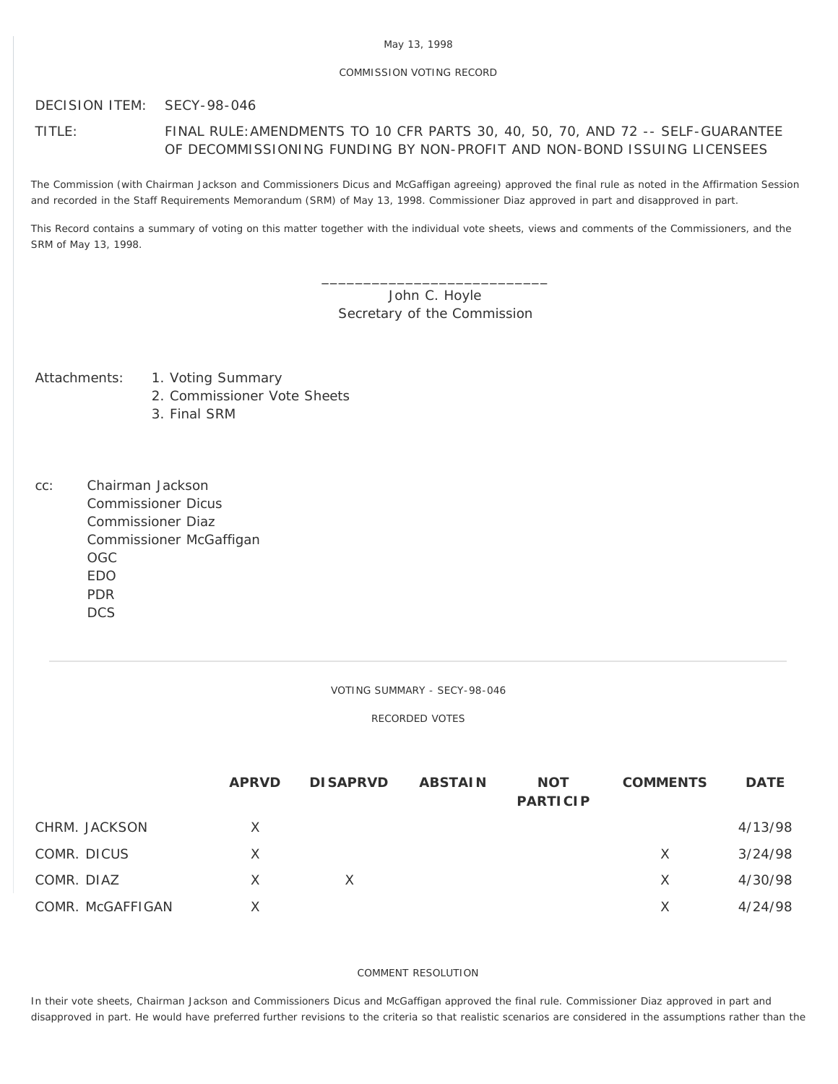## COMMISSION VOTING RECORD

DECISION ITEM: SECY-98-046

## TITLE: FINAL RULE:AMENDMENTS TO 10 CFR PARTS 30, 40, 50, 70, AND 72 -- SELF-GUARANTEE OF DECOMMISSIONING FUNDING BY NON-PROFIT AND NON-BOND ISSUING LICENSEES

The Commission (with Chairman Jackson and Commissioners Dicus and McGaffigan agreeing) approved the final rule as noted in the Affirmation Session and recorded in the Staff Requirements Memorandum (SRM) of May 13, 1998. Commissioner Diaz approved in part and disapproved in part.

This Record contains a summary of voting on this matter together with the individual vote sheets, views and comments of the Commissioners, and the SRM of May 13, 1998.

> \_\_\_\_\_\_\_\_\_\_\_\_\_\_\_\_\_\_\_\_\_\_\_\_\_\_\_ John C. Hoyle Secretary of the Commission

- Attachments: 1. Voting Summary
	- 2. Commissioner Vote Sheets
	- 3. Final SRM
- cc: Chairman Jackson Commissioner Dicus Commissioner Diaz Commissioner McGaffigan OGC EDO PDR **DCS**

VOTING SUMMARY - SECY-98-046

RECORDED VOTES

|                  | <b>APRVD</b> | <b>DISAPRVD</b> | <b>ABSTAIN</b> | <b>NOT</b><br><b>PARTICIP</b> | <b>COMMENTS</b> | <b>DATE</b> |
|------------------|--------------|-----------------|----------------|-------------------------------|-----------------|-------------|
| CHRM. JACKSON    | X            |                 |                |                               |                 | 4/13/98     |
| COMR. DICUS      | X            |                 |                |                               | X               | 3/24/98     |
| COMR. DIAZ       | X            | X               |                |                               | X               | 4/30/98     |
| COMR. McGAFFIGAN | X            |                 |                |                               | X               | 4/24/98     |

## COMMENT RESOLUTION

In their vote sheets, Chairman Jackson and Commissioners Dicus and McGaffigan approved the final rule. Commissioner Diaz approved in part and disapproved in part. He would have preferred further revisions to the criteria so that realistic scenarios are considered in the assumptions rather than the